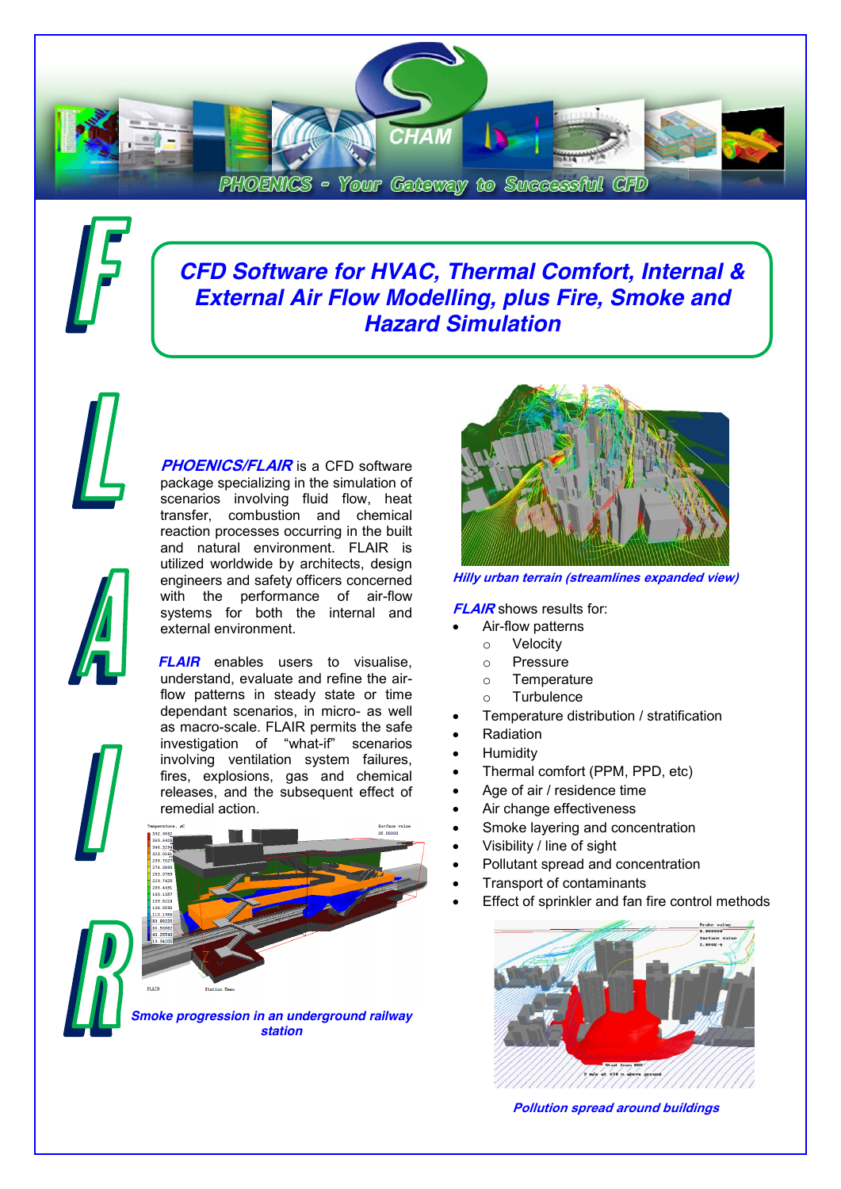

# *CFD Software for HVAC, Thermal Comfort, Internal & External Air Flow Modelling, plus Fire, Smoke and Hazard Simulation*

**PHOENICS/FLAIR** is a CFD software package specializing in the simulation of scenarios involving fluid flow, heat transfer, combustion and chemical reaction processes occurring in the built and natural environment. FLAIR is utilized worldwide by architects, design engineers and safety officers concerned with the performance of air-flow systems for both the internal and external environment.

*FLAIR* enables users to visualise. understand, evaluate and refine the airflow patterns in steady state or time dependant scenarios, in micro- as well as macro-scale. FLAIR permits the safe investigation of "what-if" scenarios involving ventilation system failures, fires, explosions, gas and chemical releases, and the subsequent effect of remedial action.



**Hilly urban terrain (streamlines expanded view)**

**FLAIR** shows results for:

- Air-flow patterns
	- o Velocity
	- o Pressure
	- o Temperature
	- **Turbulence**
- Temperature distribution / stratification
- **Radiation**
- **Humidity**
- Thermal comfort (PPM, PPD, etc)
- Age of air / residence time
- Air change effectiveness
- Smoke layering and concentration
- Visibility / line of sight
- Pollutant spread and concentration
- **Transport of contaminants**
- Effect of sprinkler and fan fire control methods



**Pollution spread around buildings**



*Smoke progression in an underground railway station*